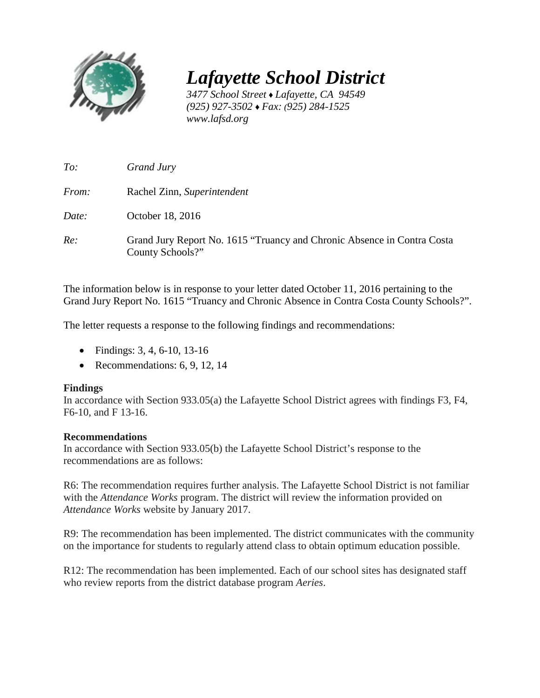

*Lafayette School District* 

*3477 School Street* ♦ *Lafayette, CA 94549 (925) 927-3502* ♦ *Fax: (925) 284-1525 www.lafsd.org*

| To:          | Grand Jury                                                                                  |
|--------------|---------------------------------------------------------------------------------------------|
| <i>From:</i> | Rachel Zinn, Superintendent                                                                 |
| Date:        | October 18, 2016                                                                            |
| Re:          | Grand Jury Report No. 1615 "Truancy and Chronic Absence in Contra Costa<br>County Schools?" |

The information below is in response to your letter dated October 11, 2016 pertaining to the Grand Jury Report No. 1615 "Truancy and Chronic Absence in Contra Costa County Schools?".

The letter requests a response to the following findings and recommendations:

- Findings: 3, 4, 6-10, 13-16
- Recommendations: 6, 9, 12, 14

## **Findings**

In accordance with Section 933.05(a) the Lafayette School District agrees with findings F3, F4, F6-10, and F 13-16.

## **Recommendations**

In accordance with Section 933.05(b) the Lafayette School District's response to the recommendations are as follows:

R6: The recommendation requires further analysis. The Lafayette School District is not familiar with the *Attendance Works* program. The district will review the information provided on *Attendance Works* website by January 2017.

R9: The recommendation has been implemented. The district communicates with the community on the importance for students to regularly attend class to obtain optimum education possible.

R12: The recommendation has been implemented. Each of our school sites has designated staff who review reports from the district database program *Aeries*.